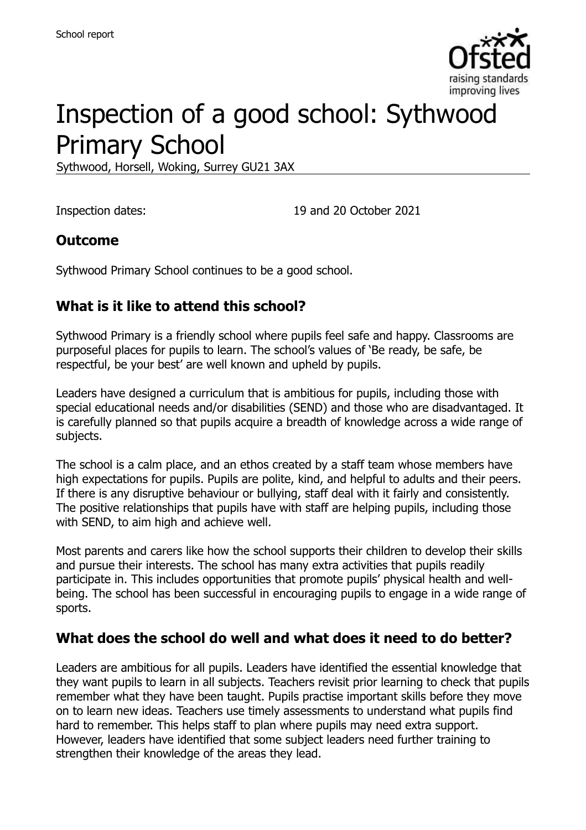

# Inspection of a good school: Sythwood Primary School

Sythwood, Horsell, Woking, Surrey GU21 3AX

Inspection dates: 19 and 20 October 2021

#### **Outcome**

Sythwood Primary School continues to be a good school.

#### **What is it like to attend this school?**

Sythwood Primary is a friendly school where pupils feel safe and happy. Classrooms are purposeful places for pupils to learn. The school's values of 'Be ready, be safe, be respectful, be your best' are well known and upheld by pupils.

Leaders have designed a curriculum that is ambitious for pupils, including those with special educational needs and/or disabilities (SEND) and those who are disadvantaged. It is carefully planned so that pupils acquire a breadth of knowledge across a wide range of subjects.

The school is a calm place, and an ethos created by a staff team whose members have high expectations for pupils. Pupils are polite, kind, and helpful to adults and their peers. If there is any disruptive behaviour or bullying, staff deal with it fairly and consistently. The positive relationships that pupils have with staff are helping pupils, including those with SEND, to aim high and achieve well.

Most parents and carers like how the school supports their children to develop their skills and pursue their interests. The school has many extra activities that pupils readily participate in. This includes opportunities that promote pupils' physical health and wellbeing. The school has been successful in encouraging pupils to engage in a wide range of sports.

#### **What does the school do well and what does it need to do better?**

Leaders are ambitious for all pupils. Leaders have identified the essential knowledge that they want pupils to learn in all subjects. Teachers revisit prior learning to check that pupils remember what they have been taught. Pupils practise important skills before they move on to learn new ideas. Teachers use timely assessments to understand what pupils find hard to remember. This helps staff to plan where pupils may need extra support. However, leaders have identified that some subject leaders need further training to strengthen their knowledge of the areas they lead.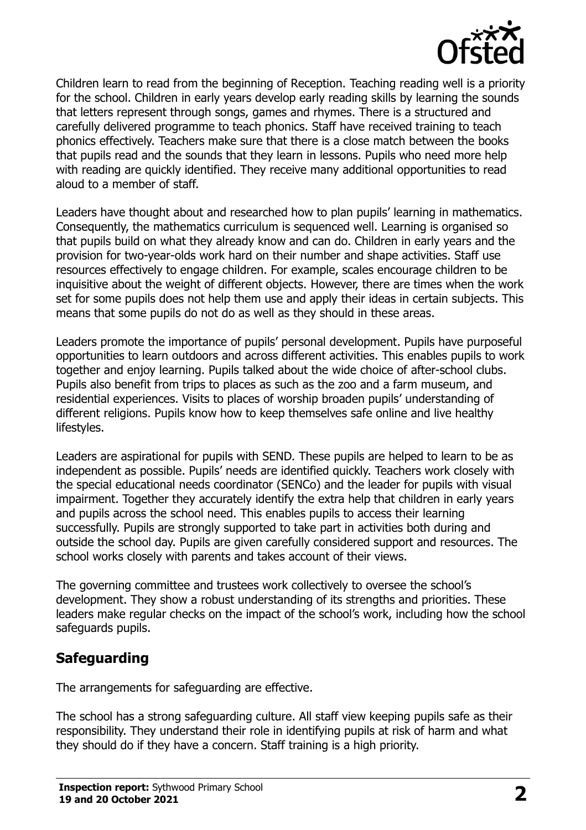

Children learn to read from the beginning of Reception. Teaching reading well is a priority for the school. Children in early years develop early reading skills by learning the sounds that letters represent through songs, games and rhymes. There is a structured and carefully delivered programme to teach phonics. Staff have received training to teach phonics effectively. Teachers make sure that there is a close match between the books that pupils read and the sounds that they learn in lessons. Pupils who need more help with reading are quickly identified. They receive many additional opportunities to read aloud to a member of staff.

Leaders have thought about and researched how to plan pupils' learning in mathematics. Consequently, the mathematics curriculum is sequenced well. Learning is organised so that pupils build on what they already know and can do. Children in early years and the provision for two-year-olds work hard on their number and shape activities. Staff use resources effectively to engage children. For example, scales encourage children to be inquisitive about the weight of different objects. However, there are times when the work set for some pupils does not help them use and apply their ideas in certain subjects. This means that some pupils do not do as well as they should in these areas.

Leaders promote the importance of pupils' personal development. Pupils have purposeful opportunities to learn outdoors and across different activities. This enables pupils to work together and enjoy learning. Pupils talked about the wide choice of after-school clubs. Pupils also benefit from trips to places as such as the zoo and a farm museum, and residential experiences. Visits to places of worship broaden pupils' understanding of different religions. Pupils know how to keep themselves safe online and live healthy lifestyles.

Leaders are aspirational for pupils with SEND. These pupils are helped to learn to be as independent as possible. Pupils' needs are identified quickly. Teachers work closely with the special educational needs coordinator (SENCo) and the leader for pupils with visual impairment. Together they accurately identify the extra help that children in early years and pupils across the school need. This enables pupils to access their learning successfully. Pupils are strongly supported to take part in activities both during and outside the school day. Pupils are given carefully considered support and resources. The school works closely with parents and takes account of their views.

The governing committee and trustees work collectively to oversee the school's development. They show a robust understanding of its strengths and priorities. These leaders make regular checks on the impact of the school's work, including how the school safeguards pupils.

## **Safeguarding**

The arrangements for safeguarding are effective.

The school has a strong safeguarding culture. All staff view keeping pupils safe as their responsibility. They understand their role in identifying pupils at risk of harm and what they should do if they have a concern. Staff training is a high priority.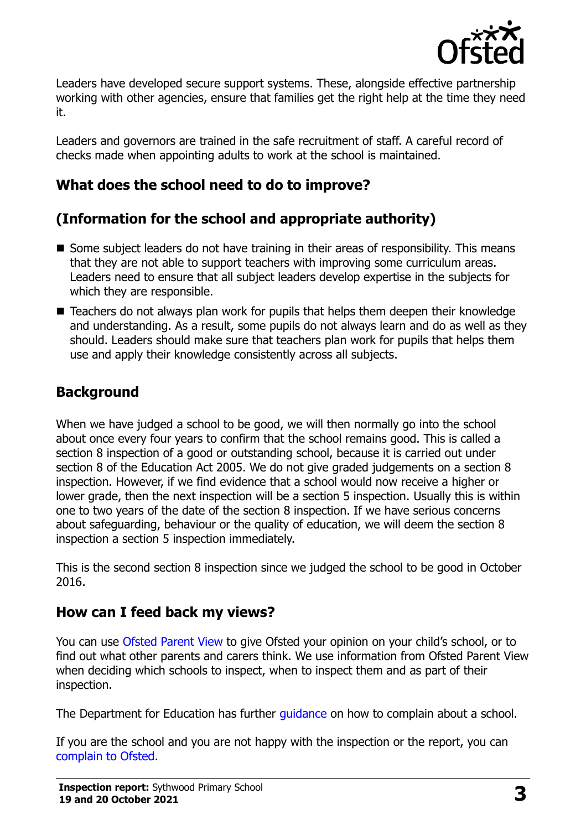

Leaders have developed secure support systems. These, alongside effective partnership working with other agencies, ensure that families get the right help at the time they need it.

Leaders and governors are trained in the safe recruitment of staff. A careful record of checks made when appointing adults to work at the school is maintained.

## **What does the school need to do to improve?**

## **(Information for the school and appropriate authority)**

- Some subject leaders do not have training in their areas of responsibility. This means that they are not able to support teachers with improving some curriculum areas. Leaders need to ensure that all subject leaders develop expertise in the subjects for which they are responsible.
- Teachers do not always plan work for pupils that helps them deepen their knowledge and understanding. As a result, some pupils do not always learn and do as well as they should. Leaders should make sure that teachers plan work for pupils that helps them use and apply their knowledge consistently across all subjects.

## **Background**

When we have judged a school to be good, we will then normally go into the school about once every four years to confirm that the school remains good. This is called a section 8 inspection of a good or outstanding school, because it is carried out under section 8 of the Education Act 2005. We do not give graded judgements on a section 8 inspection. However, if we find evidence that a school would now receive a higher or lower grade, then the next inspection will be a section 5 inspection. Usually this is within one to two years of the date of the section 8 inspection. If we have serious concerns about safeguarding, behaviour or the quality of education, we will deem the section 8 inspection a section 5 inspection immediately.

This is the second section 8 inspection since we judged the school to be good in October 2016.

## **How can I feed back my views?**

You can use [Ofsted Parent View](https://parentview.ofsted.gov.uk/) to give Ofsted your opinion on your child's school, or to find out what other parents and carers think. We use information from Ofsted Parent View when deciding which schools to inspect, when to inspect them and as part of their inspection.

The Department for Education has further quidance on how to complain about a school.

If you are the school and you are not happy with the inspection or the report, you can [complain to Ofsted.](https://www.gov.uk/complain-ofsted-report)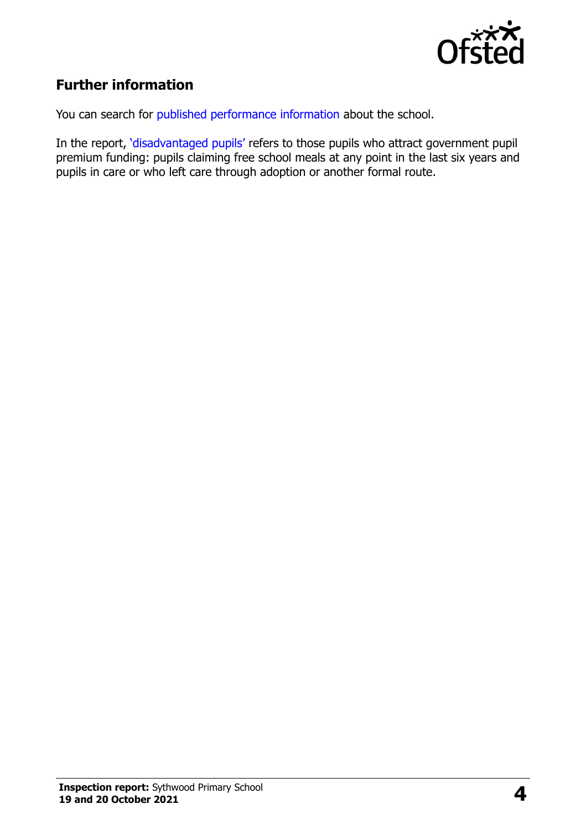

## **Further information**

You can search for [published performance information](http://www.compare-school-performance.service.gov.uk/) about the school.

In the report, '[disadvantaged pupils](http://www.gov.uk/guidance/pupil-premium-information-for-schools-and-alternative-provision-settings)' refers to those pupils who attract government pupil premium funding: pupils claiming free school meals at any point in the last six years and pupils in care or who left care through adoption or another formal route.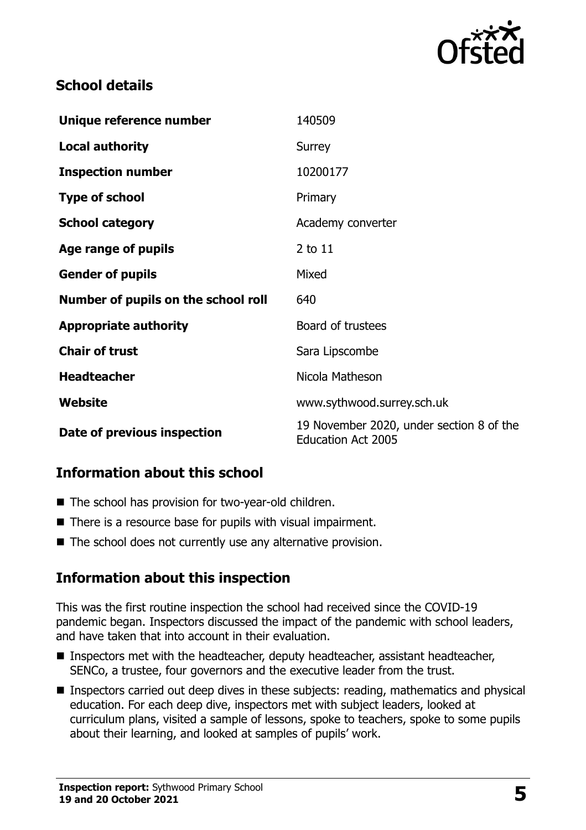

#### **School details**

| Unique reference number             | 140509                                                                |
|-------------------------------------|-----------------------------------------------------------------------|
| <b>Local authority</b>              | Surrey                                                                |
| <b>Inspection number</b>            | 10200177                                                              |
| <b>Type of school</b>               | Primary                                                               |
| <b>School category</b>              | Academy converter                                                     |
| Age range of pupils                 | 2 to 11                                                               |
| <b>Gender of pupils</b>             | Mixed                                                                 |
| Number of pupils on the school roll | 640                                                                   |
| <b>Appropriate authority</b>        | Board of trustees                                                     |
| <b>Chair of trust</b>               | Sara Lipscombe                                                        |
| <b>Headteacher</b>                  | Nicola Matheson                                                       |
| Website                             | www.sythwood.surrey.sch.uk                                            |
| Date of previous inspection         | 19 November 2020, under section 8 of the<br><b>Education Act 2005</b> |

## **Information about this school**

- The school has provision for two-year-old children.
- There is a resource base for pupils with visual impairment.
- The school does not currently use any alternative provision.

#### **Information about this inspection**

This was the first routine inspection the school had received since the COVID-19 pandemic began. Inspectors discussed the impact of the pandemic with school leaders, and have taken that into account in their evaluation.

- Inspectors met with the headteacher, deputy headteacher, assistant headteacher, SENCo, a trustee, four governors and the executive leader from the trust.
- **Inspectors carried out deep dives in these subjects: reading, mathematics and physical** education. For each deep dive, inspectors met with subject leaders, looked at curriculum plans, visited a sample of lessons, spoke to teachers, spoke to some pupils about their learning, and looked at samples of pupils' work.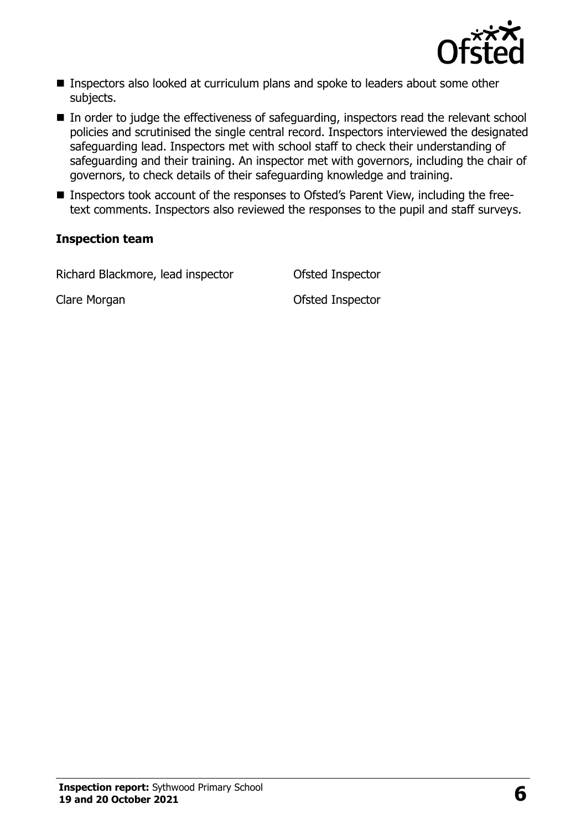

- Inspectors also looked at curriculum plans and spoke to leaders about some other subjects.
- In order to judge the effectiveness of safeguarding, inspectors read the relevant school policies and scrutinised the single central record. Inspectors interviewed the designated safeguarding lead. Inspectors met with school staff to check their understanding of safeguarding and their training. An inspector met with governors, including the chair of governors, to check details of their safeguarding knowledge and training.
- Inspectors took account of the responses to Ofsted's Parent View, including the freetext comments. Inspectors also reviewed the responses to the pupil and staff surveys.

#### **Inspection team**

Richard Blackmore, lead inspector Ofsted Inspector

Clare Morgan Clare Morgan Clare Morgan Clare Morgan Clare Clare Clare Clare Clare Clare Clare Clare Clare Clare